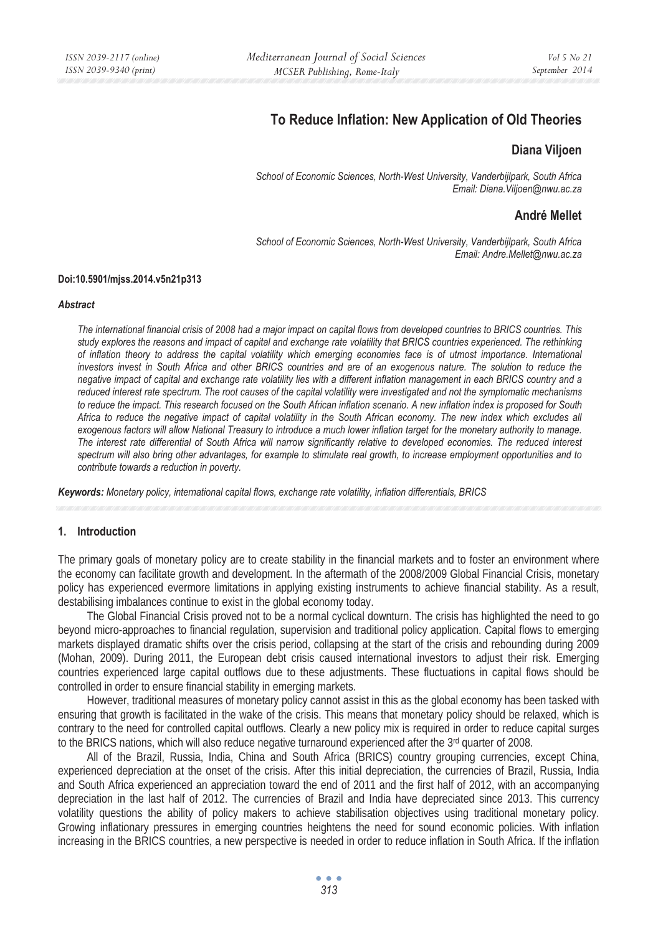# **To Reduce Inflation: New Application of Old Theories**

# **Diana Viljoen**

*School of Economic Sciences, North-West University, Vanderbijlpark, South Africa Email: Diana.Viljoen@nwu.ac.za* 

# **André Mellet**

*School of Economic Sciences, North-West University, Vanderbijlpark, South Africa Email: Andre.Mellet@nwu.ac.za* 

#### **Doi:10.5901/mjss.2014.v5n21p313**

#### *Abstract*

*The international financial crisis of 2008 had a major impact on capital flows from developed countries to BRICS countries. This study explores the reasons and impact of capital and exchange rate volatility that BRICS countries experienced. The rethinking of inflation theory to address the capital volatility which emerging economies face is of utmost importance. International investors invest in South Africa and other BRICS countries and are of an exogenous nature. The solution to reduce the negative impact of capital and exchange rate volatility lies with a different inflation management in each BRICS country and a reduced interest rate spectrum. The root causes of the capital volatility were investigated and not the symptomatic mechanisms to reduce the impact. This research focused on the South African inflation scenario. A new inflation index is proposed for South Africa to reduce the negative impact of capital volatility in the South African economy. The new index which excludes all exogenous factors will allow National Treasury to introduce a much lower inflation target for the monetary authority to manage. The interest rate differential of South Africa will narrow significantly relative to developed economies. The reduced interest spectrum will also bring other advantages, for example to stimulate real growth, to increase employment opportunities and to contribute towards a reduction in poverty.* 

*Keywords: Monetary policy, international capital flows, exchange rate volatility, inflation differentials, BRICS*

#### **1. Introduction**

The primary goals of monetary policy are to create stability in the financial markets and to foster an environment where the economy can facilitate growth and development. In the aftermath of the 2008/2009 Global Financial Crisis, monetary policy has experienced evermore limitations in applying existing instruments to achieve financial stability. As a result, destabilising imbalances continue to exist in the global economy today.

The Global Financial Crisis proved not to be a normal cyclical downturn. The crisis has highlighted the need to go beyond micro-approaches to financial regulation, supervision and traditional policy application. Capital flows to emerging markets displayed dramatic shifts over the crisis period, collapsing at the start of the crisis and rebounding during 2009 (Mohan, 2009). During 2011, the European debt crisis caused international investors to adjust their risk. Emerging countries experienced large capital outflows due to these adjustments. These fluctuations in capital flows should be controlled in order to ensure financial stability in emerging markets.

However, traditional measures of monetary policy cannot assist in this as the global economy has been tasked with ensuring that growth is facilitated in the wake of the crisis. This means that monetary policy should be relaxed, which is contrary to the need for controlled capital outflows. Clearly a new policy mix is required in order to reduce capital surges to the BRICS nations, which will also reduce negative turnaround experienced after the 3<sup>rd</sup> quarter of 2008.

All of the Brazil, Russia, India, China and South Africa (BRICS) country grouping currencies, except China, experienced depreciation at the onset of the crisis. After this initial depreciation, the currencies of Brazil, Russia, India and South Africa experienced an appreciation toward the end of 2011 and the first half of 2012, with an accompanying depreciation in the last half of 2012. The currencies of Brazil and India have depreciated since 2013. This currency volatility questions the ability of policy makers to achieve stabilisation objectives using traditional monetary policy. Growing inflationary pressures in emerging countries heightens the need for sound economic policies. With inflation increasing in the BRICS countries, a new perspective is needed in order to reduce inflation in South Africa. If the inflation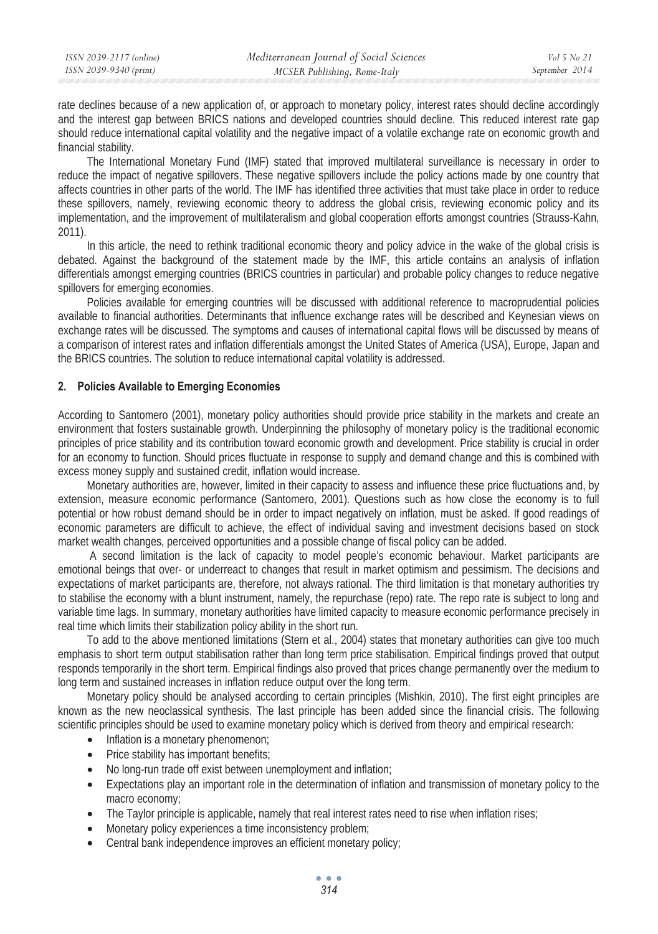rate declines because of a new application of, or approach to monetary policy, interest rates should decline accordingly and the interest gap between BRICS nations and developed countries should decline. This reduced interest rate gap should reduce international capital volatility and the negative impact of a volatile exchange rate on economic growth and financial stability.

The International Monetary Fund (IMF) stated that improved multilateral surveillance is necessary in order to reduce the impact of negative spillovers. These negative spillovers include the policy actions made by one country that affects countries in other parts of the world. The IMF has identified three activities that must take place in order to reduce these spillovers, namely, reviewing economic theory to address the global crisis, reviewing economic policy and its implementation, and the improvement of multilateralism and global cooperation efforts amongst countries (Strauss-Kahn, 2011).

In this article, the need to rethink traditional economic theory and policy advice in the wake of the global crisis is debated. Against the background of the statement made by the IMF, this article contains an analysis of inflation differentials amongst emerging countries (BRICS countries in particular) and probable policy changes to reduce negative spillovers for emerging economies.

Policies available for emerging countries will be discussed with additional reference to macroprudential policies available to financial authorities. Determinants that influence exchange rates will be described and Keynesian views on exchange rates will be discussed. The symptoms and causes of international capital flows will be discussed by means of a comparison of interest rates and inflation differentials amongst the United States of America (USA), Europe, Japan and the BRICS countries. The solution to reduce international capital volatility is addressed.

# **2. Policies Available to Emerging Economies**

According to Santomero (2001), monetary policy authorities should provide price stability in the markets and create an environment that fosters sustainable growth. Underpinning the philosophy of monetary policy is the traditional economic principles of price stability and its contribution toward economic growth and development. Price stability is crucial in order for an economy to function. Should prices fluctuate in response to supply and demand change and this is combined with excess money supply and sustained credit, inflation would increase.

Monetary authorities are, however, limited in their capacity to assess and influence these price fluctuations and, by extension, measure economic performance (Santomero, 2001). Questions such as how close the economy is to full potential or how robust demand should be in order to impact negatively on inflation, must be asked. If good readings of economic parameters are difficult to achieve, the effect of individual saving and investment decisions based on stock market wealth changes, perceived opportunities and a possible change of fiscal policy can be added.

 A second limitation is the lack of capacity to model people's economic behaviour. Market participants are emotional beings that over- or underreact to changes that result in market optimism and pessimism. The decisions and expectations of market participants are, therefore, not always rational. The third limitation is that monetary authorities try to stabilise the economy with a blunt instrument, namely, the repurchase (repo) rate. The repo rate is subject to long and variable time lags. In summary, monetary authorities have limited capacity to measure economic performance precisely in real time which limits their stabilization policy ability in the short run.

To add to the above mentioned limitations (Stern et al., 2004) states that monetary authorities can give too much emphasis to short term output stabilisation rather than long term price stabilisation. Empirical findings proved that output responds temporarily in the short term. Empirical findings also proved that prices change permanently over the medium to long term and sustained increases in inflation reduce output over the long term.

Monetary policy should be analysed according to certain principles (Mishkin, 2010). The first eight principles are known as the new neoclassical synthesis. The last principle has been added since the financial crisis. The following scientific principles should be used to examine monetary policy which is derived from theory and empirical research:

- Inflation is a monetary phenomenon;
- Price stability has important benefits;
- No long-run trade off exist between unemployment and inflation;
- Expectations play an important role in the determination of inflation and transmission of monetary policy to the macro economy;
- The Taylor principle is applicable, namely that real interest rates need to rise when inflation rises;
- Monetary policy experiences a time inconsistency problem;
- Central bank independence improves an efficient monetary policy;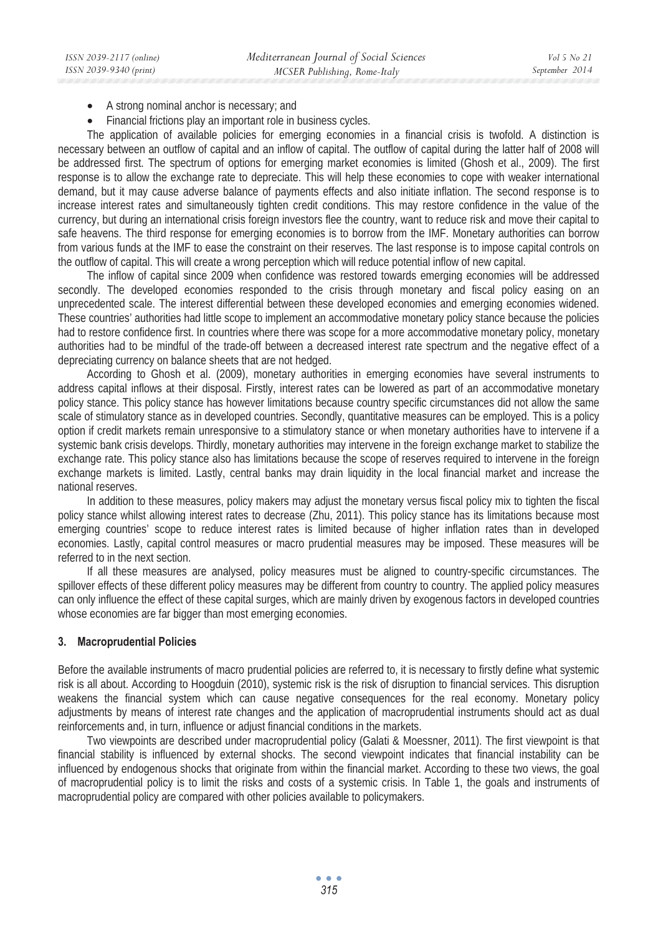- A strong nominal anchor is necessary; and
- Financial frictions play an important role in business cycles.

The application of available policies for emerging economies in a financial crisis is twofold. A distinction is necessary between an outflow of capital and an inflow of capital. The outflow of capital during the latter half of 2008 will be addressed first. The spectrum of options for emerging market economies is limited (Ghosh et al., 2009). The first response is to allow the exchange rate to depreciate. This will help these economies to cope with weaker international demand, but it may cause adverse balance of payments effects and also initiate inflation. The second response is to increase interest rates and simultaneously tighten credit conditions. This may restore confidence in the value of the currency, but during an international crisis foreign investors flee the country, want to reduce risk and move their capital to safe heavens. The third response for emerging economies is to borrow from the IMF. Monetary authorities can borrow from various funds at the IMF to ease the constraint on their reserves. The last response is to impose capital controls on the outflow of capital. This will create a wrong perception which will reduce potential inflow of new capital.

The inflow of capital since 2009 when confidence was restored towards emerging economies will be addressed secondly. The developed economies responded to the crisis through monetary and fiscal policy easing on an unprecedented scale. The interest differential between these developed economies and emerging economies widened. These countries' authorities had little scope to implement an accommodative monetary policy stance because the policies had to restore confidence first. In countries where there was scope for a more accommodative monetary policy, monetary authorities had to be mindful of the trade-off between a decreased interest rate spectrum and the negative effect of a depreciating currency on balance sheets that are not hedged.

According to Ghosh et al. (2009), monetary authorities in emerging economies have several instruments to address capital inflows at their disposal. Firstly, interest rates can be lowered as part of an accommodative monetary policy stance. This policy stance has however limitations because country specific circumstances did not allow the same scale of stimulatory stance as in developed countries. Secondly, quantitative measures can be employed. This is a policy option if credit markets remain unresponsive to a stimulatory stance or when monetary authorities have to intervene if a systemic bank crisis develops. Thirdly, monetary authorities may intervene in the foreign exchange market to stabilize the exchange rate. This policy stance also has limitations because the scope of reserves required to intervene in the foreign exchange markets is limited. Lastly, central banks may drain liquidity in the local financial market and increase the national reserves.

In addition to these measures, policy makers may adjust the monetary versus fiscal policy mix to tighten the fiscal policy stance whilst allowing interest rates to decrease (Zhu, 2011). This policy stance has its limitations because most emerging countries' scope to reduce interest rates is limited because of higher inflation rates than in developed economies. Lastly, capital control measures or macro prudential measures may be imposed. These measures will be referred to in the next section.

If all these measures are analysed, policy measures must be aligned to country-specific circumstances. The spillover effects of these different policy measures may be different from country to country. The applied policy measures can only influence the effect of these capital surges, which are mainly driven by exogenous factors in developed countries whose economies are far bigger than most emerging economies.

# **3. Macroprudential Policies**

Before the available instruments of macro prudential policies are referred to, it is necessary to firstly define what systemic risk is all about. According to Hoogduin (2010), systemic risk is the risk of disruption to financial services. This disruption weakens the financial system which can cause negative consequences for the real economy. Monetary policy adjustments by means of interest rate changes and the application of macroprudential instruments should act as dual reinforcements and, in turn, influence or adjust financial conditions in the markets.

Two viewpoints are described under macroprudential policy (Galati & Moessner, 2011). The first viewpoint is that financial stability is influenced by external shocks. The second viewpoint indicates that financial instability can be influenced by endogenous shocks that originate from within the financial market. According to these two views, the goal of macroprudential policy is to limit the risks and costs of a systemic crisis. In Table 1, the goals and instruments of macroprudential policy are compared with other policies available to policymakers.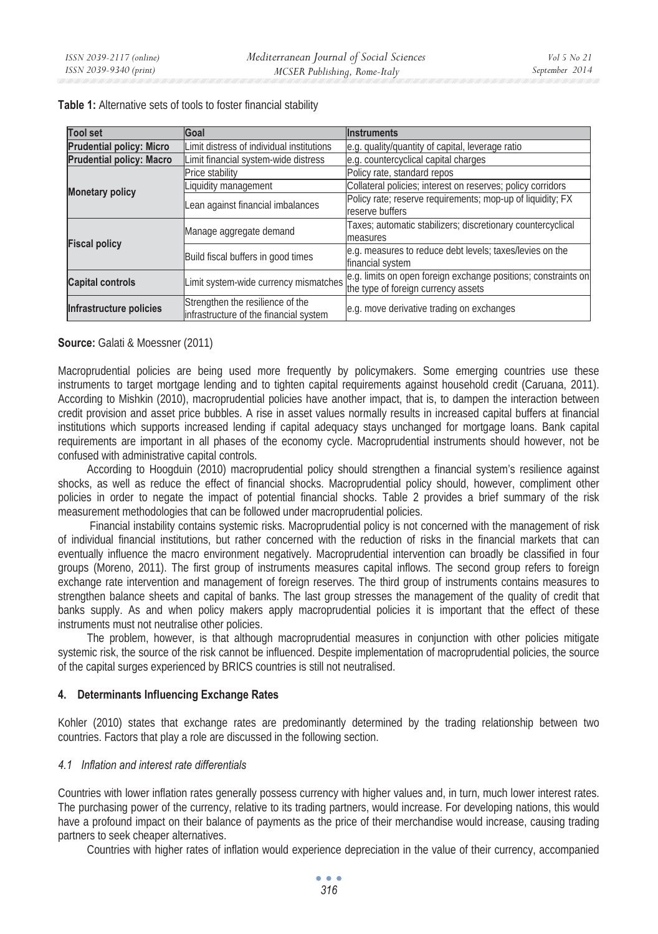| <b>Tool set</b>                                                  | Goal                                                                       | <b>Instruments</b>                                                                                    |  |  |
|------------------------------------------------------------------|----------------------------------------------------------------------------|-------------------------------------------------------------------------------------------------------|--|--|
| <b>Prudential policy: Micro</b>                                  | Limit distress of individual institutions                                  | e.g. quality/quantity of capital, leverage ratio                                                      |  |  |
| <b>Prudential policy: Macro</b>                                  | Limit financial system-wide distress                                       | e.g. countercyclical capital charges                                                                  |  |  |
|                                                                  | Price stability                                                            | Policy rate, standard repos                                                                           |  |  |
| <b>Monetary policy</b>                                           | Liquidity management                                                       | Collateral policies; interest on reserves; policy corridors                                           |  |  |
|                                                                  | Lean against financial imbalances                                          | Policy rate; reserve requirements; mop-up of liquidity; FX<br>reserve buffers                         |  |  |
| <b>Fiscal policy</b>                                             | Manage aggregate demand                                                    | Taxes; automatic stabilizers; discretionary countercyclical<br>measures                               |  |  |
|                                                                  | Build fiscal buffers in good times                                         | e.g. measures to reduce debt levels; taxes/levies on the<br>financial system                          |  |  |
| Limit system-wide currency mismatches<br><b>Capital controls</b> |                                                                            | e.g. limits on open foreign exchange positions; constraints on<br>the type of foreign currency assets |  |  |
| Infrastructure policies                                          | Strengthen the resilience of the<br>infrastructure of the financial system | e.g. move derivative trading on exchanges                                                             |  |  |

#### **Table 1:** Alternative sets of tools to foster financial stability

### **Source:** Galati & Moessner (2011)

Macroprudential policies are being used more frequently by policymakers. Some emerging countries use these instruments to target mortgage lending and to tighten capital requirements against household credit (Caruana, 2011). According to Mishkin (2010), macroprudential policies have another impact, that is, to dampen the interaction between credit provision and asset price bubbles. A rise in asset values normally results in increased capital buffers at financial institutions which supports increased lending if capital adequacy stays unchanged for mortgage loans. Bank capital requirements are important in all phases of the economy cycle. Macroprudential instruments should however, not be confused with administrative capital controls.

According to Hoogduin (2010) macroprudential policy should strengthen a financial system's resilience against shocks, as well as reduce the effect of financial shocks. Macroprudential policy should, however, compliment other policies in order to negate the impact of potential financial shocks. Table 2 provides a brief summary of the risk measurement methodologies that can be followed under macroprudential policies.

 Financial instability contains systemic risks. Macroprudential policy is not concerned with the management of risk of individual financial institutions, but rather concerned with the reduction of risks in the financial markets that can eventually influence the macro environment negatively. Macroprudential intervention can broadly be classified in four groups (Moreno, 2011). The first group of instruments measures capital inflows. The second group refers to foreign exchange rate intervention and management of foreign reserves. The third group of instruments contains measures to strengthen balance sheets and capital of banks. The last group stresses the management of the quality of credit that banks supply. As and when policy makers apply macroprudential policies it is important that the effect of these instruments must not neutralise other policies.

The problem, however, is that although macroprudential measures in conjunction with other policies mitigate systemic risk, the source of the risk cannot be influenced. Despite implementation of macroprudential policies, the source of the capital surges experienced by BRICS countries is still not neutralised.

### **4. Determinants Influencing Exchange Rates**

Kohler (2010) states that exchange rates are predominantly determined by the trading relationship between two countries. Factors that play a role are discussed in the following section.

### *4.1 Inflation and interest rate differentials*

Countries with lower inflation rates generally possess currency with higher values and, in turn, much lower interest rates. The purchasing power of the currency, relative to its trading partners, would increase. For developing nations, this would have a profound impact on their balance of payments as the price of their merchandise would increase, causing trading partners to seek cheaper alternatives.

Countries with higher rates of inflation would experience depreciation in the value of their currency, accompanied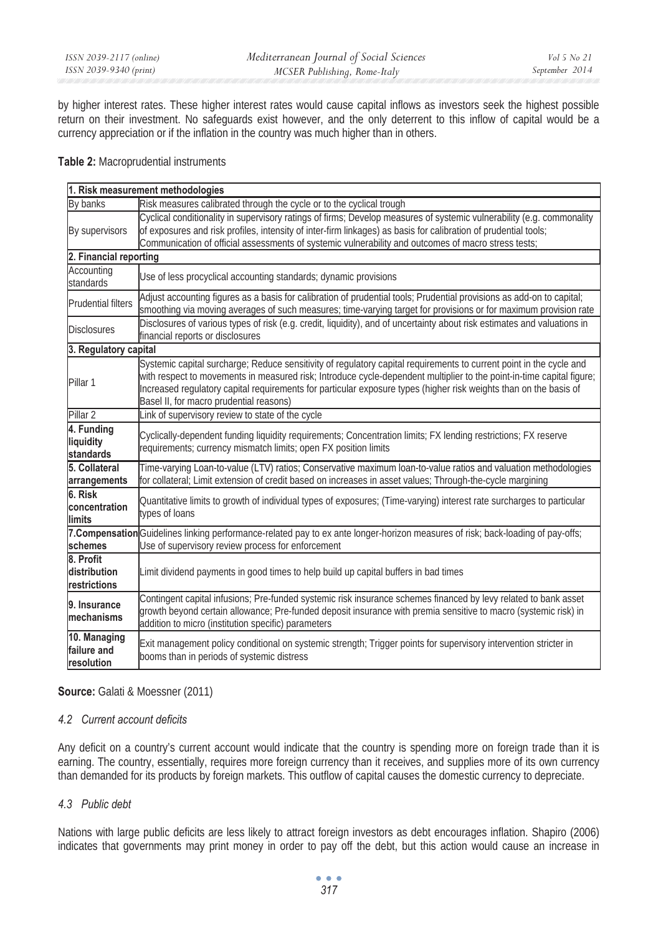by higher interest rates. These higher interest rates would cause capital inflows as investors seek the highest possible return on their investment. No safeguards exist however, and the only deterrent to this inflow of capital would be a currency appreciation or if the inflation in the country was much higher than in others.

# **Table 2:** Macroprudential instruments

|                                             | 1. Risk measurement methodologies                                                                                                                                                                                                                                                                                                                                                                            |
|---------------------------------------------|--------------------------------------------------------------------------------------------------------------------------------------------------------------------------------------------------------------------------------------------------------------------------------------------------------------------------------------------------------------------------------------------------------------|
| By banks                                    | Risk measures calibrated through the cycle or to the cyclical trough                                                                                                                                                                                                                                                                                                                                         |
| By supervisors                              | Cyclical conditionality in supervisory ratings of firms; Develop measures of systemic vulnerability (e.g. commonality<br>of exposures and risk profiles, intensity of inter-firm linkages) as basis for calibration of prudential tools;<br>Communication of official assessments of systemic vulnerability and outcomes of macro stress tests;                                                              |
| 2. Financial reporting                      |                                                                                                                                                                                                                                                                                                                                                                                                              |
| Accounting<br>standards                     | Use of less procyclical accounting standards; dynamic provisions                                                                                                                                                                                                                                                                                                                                             |
| <b>Prudential filters</b>                   | Adjust accounting figures as a basis for calibration of prudential tools; Prudential provisions as add-on to capital;<br>smoothing via moving averages of such measures; time-varying target for provisions or for maximum provision rate                                                                                                                                                                    |
| <b>Disclosures</b>                          | Disclosures of various types of risk (e.g. credit, liquidity), and of uncertainty about risk estimates and valuations in<br>financial reports or disclosures                                                                                                                                                                                                                                                 |
| 3. Regulatory capital                       |                                                                                                                                                                                                                                                                                                                                                                                                              |
| Pillar 1                                    | Systemic capital surcharge; Reduce sensitivity of regulatory capital requirements to current point in the cycle and<br>with respect to movements in measured risk; Introduce cycle-dependent multiplier to the point-in-time capital figure;<br>Increased regulatory capital reguirements for particular exposure types (higher risk weights than on the basis of<br>Basel II, for macro prudential reasons) |
| Pillar <sub>2</sub>                         | Link of supervisory review to state of the cycle                                                                                                                                                                                                                                                                                                                                                             |
| 4. Funding<br>liquidity<br><b>standards</b> | Cyclically-dependent funding liquidity requirements; Concentration limits; FX lending restrictions; FX reserve<br>requirements; currency mismatch limits; open FX position limits                                                                                                                                                                                                                            |
| 5. Collateral<br>arrangements               | Time-varying Loan-to-value (LTV) ratios; Conservative maximum loan-to-value ratios and valuation methodologies<br>for collateral; Limit extension of credit based on increases in asset values; Through-the-cycle margining                                                                                                                                                                                  |
| 6. Risk<br>concentration<br>limits          | Quantitative limits to growth of individual types of exposures; (Time-varying) interest rate surcharges to particular<br>types of loans                                                                                                                                                                                                                                                                      |
| <b>schemes</b>                              | 7. Compensation Guidelines linking performance-related pay to ex ante longer-horizon measures of risk; back-loading of pay-offs;<br>Use of supervisory review process for enforcement                                                                                                                                                                                                                        |
| 8. Profit<br>distribution<br>restrictions   | Limit dividend payments in good times to help build up capital buffers in bad times                                                                                                                                                                                                                                                                                                                          |
| 9. Insurance<br>mechanisms                  | Contingent capital infusions; Pre-funded systemic risk insurance schemes financed by levy related to bank asset<br>growth beyond certain allowance; Pre-funded deposit insurance with premia sensitive to macro (systemic risk) in<br>addition to micro (institution specific) parameters                                                                                                                    |
| 10. Managing<br>failure and<br>resolution   | Exit management policy conditional on systemic strength; Trigger points for supervisory intervention stricter in<br>booms than in periods of systemic distress                                                                                                                                                                                                                                               |

**Source:** Galati & Moessner (2011)

### *4.2 Current account deficits*

Any deficit on a country's current account would indicate that the country is spending more on foreign trade than it is earning. The country, essentially, requires more foreign currency than it receives, and supplies more of its own currency than demanded for its products by foreign markets. This outflow of capital causes the domestic currency to depreciate.

### *4.3 Public debt*

Nations with large public deficits are less likely to attract foreign investors as debt encourages inflation. Shapiro (2006) indicates that governments may print money in order to pay off the debt, but this action would cause an increase in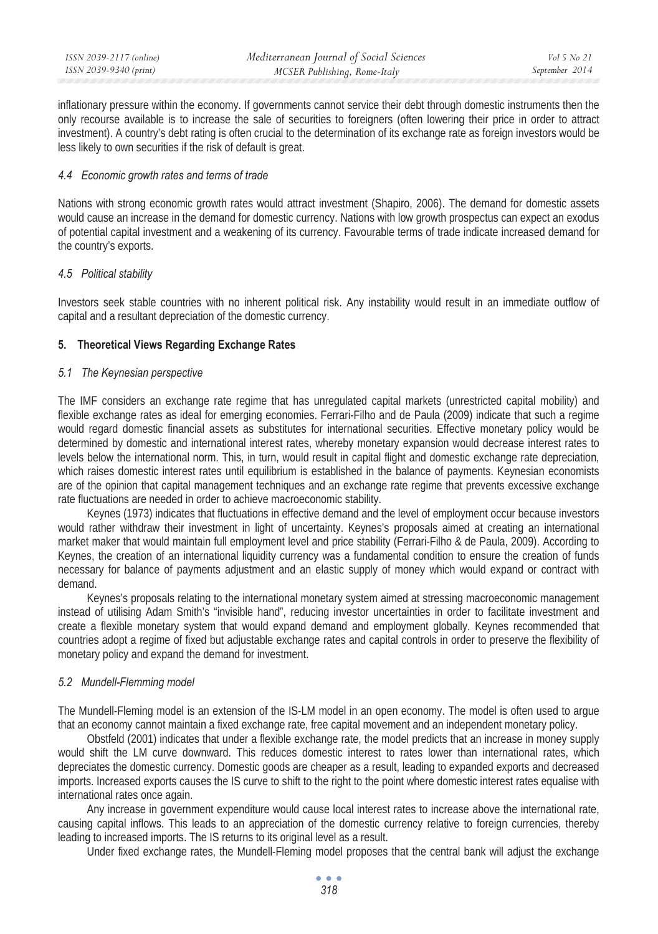| ISSN 2039-2117 (online) | Mediterranean Journal of Social Sciences | Vol 5 No 21    |
|-------------------------|------------------------------------------|----------------|
| ISSN 2039-9340 (print)  | MCSER Publishing, Rome-Italy             | September 2014 |
|                         |                                          |                |

inflationary pressure within the economy. If governments cannot service their debt through domestic instruments then the only recourse available is to increase the sale of securities to foreigners (often lowering their price in order to attract investment). A country's debt rating is often crucial to the determination of its exchange rate as foreign investors would be less likely to own securities if the risk of default is great.

#### *4.4 Economic growth rates and terms of trade*

Nations with strong economic growth rates would attract investment (Shapiro, 2006). The demand for domestic assets would cause an increase in the demand for domestic currency. Nations with low growth prospectus can expect an exodus of potential capital investment and a weakening of its currency. Favourable terms of trade indicate increased demand for the country's exports.

#### *4.5 Political stability*

Investors seek stable countries with no inherent political risk. Any instability would result in an immediate outflow of capital and a resultant depreciation of the domestic currency.

### **5. Theoretical Views Regarding Exchange Rates**

#### *5.1 The Keynesian perspective*

The IMF considers an exchange rate regime that has unregulated capital markets (unrestricted capital mobility) and flexible exchange rates as ideal for emerging economies. Ferrari-Filho and de Paula (2009) indicate that such a regime would regard domestic financial assets as substitutes for international securities. Effective monetary policy would be determined by domestic and international interest rates, whereby monetary expansion would decrease interest rates to levels below the international norm. This, in turn, would result in capital flight and domestic exchange rate depreciation, which raises domestic interest rates until equilibrium is established in the balance of payments. Keynesian economists are of the opinion that capital management techniques and an exchange rate regime that prevents excessive exchange rate fluctuations are needed in order to achieve macroeconomic stability.

Keynes (1973) indicates that fluctuations in effective demand and the level of employment occur because investors would rather withdraw their investment in light of uncertainty. Keynes's proposals aimed at creating an international market maker that would maintain full employment level and price stability (Ferrari-Filho & de Paula, 2009). According to Keynes, the creation of an international liquidity currency was a fundamental condition to ensure the creation of funds necessary for balance of payments adjustment and an elastic supply of money which would expand or contract with demand.

Keynes's proposals relating to the international monetary system aimed at stressing macroeconomic management instead of utilising Adam Smith's "invisible hand", reducing investor uncertainties in order to facilitate investment and create a flexible monetary system that would expand demand and employment globally. Keynes recommended that countries adopt a regime of fixed but adjustable exchange rates and capital controls in order to preserve the flexibility of monetary policy and expand the demand for investment.

#### *5.2 Mundell-Flemming model*

The Mundell-Fleming model is an extension of the IS-LM model in an open economy. The model is often used to argue that an economy cannot maintain a fixed exchange rate, free capital movement and an independent monetary policy.

Obstfeld (2001) indicates that under a flexible exchange rate, the model predicts that an increase in money supply would shift the LM curve downward. This reduces domestic interest to rates lower than international rates, which depreciates the domestic currency. Domestic goods are cheaper as a result, leading to expanded exports and decreased imports. Increased exports causes the IS curve to shift to the right to the point where domestic interest rates equalise with international rates once again.

Any increase in government expenditure would cause local interest rates to increase above the international rate, causing capital inflows. This leads to an appreciation of the domestic currency relative to foreign currencies, thereby leading to increased imports. The IS returns to its original level as a result.

Under fixed exchange rates, the Mundell-Fleming model proposes that the central bank will adjust the exchange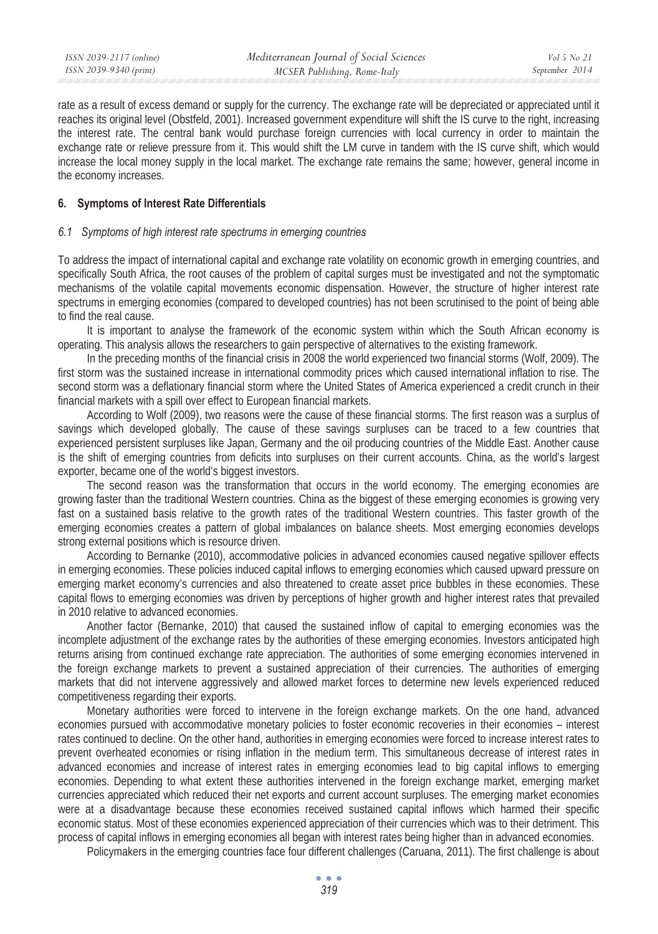| ISSN 2039-2117 (online) | Mediterranean Journal of Social Sciences | Vol 5 No 21    |
|-------------------------|------------------------------------------|----------------|
| ISSN 2039-9340 (print)  | MCSER Publishing, Rome-Italy             | September 2014 |
|                         |                                          |                |

rate as a result of excess demand or supply for the currency. The exchange rate will be depreciated or appreciated until it reaches its original level (Obstfeld, 2001). Increased government expenditure will shift the IS curve to the right, increasing the interest rate. The central bank would purchase foreign currencies with local currency in order to maintain the exchange rate or relieve pressure from it. This would shift the LM curve in tandem with the IS curve shift, which would increase the local money supply in the local market. The exchange rate remains the same; however, general income in the economy increases.

#### **6. Symptoms of Interest Rate Differentials**

#### *6.1 Symptoms of high interest rate spectrums in emerging countries*

To address the impact of international capital and exchange rate volatility on economic growth in emerging countries, and specifically South Africa, the root causes of the problem of capital surges must be investigated and not the symptomatic mechanisms of the volatile capital movements economic dispensation. However, the structure of higher interest rate spectrums in emerging economies (compared to developed countries) has not been scrutinised to the point of being able to find the real cause.

It is important to analyse the framework of the economic system within which the South African economy is operating. This analysis allows the researchers to gain perspective of alternatives to the existing framework.

In the preceding months of the financial crisis in 2008 the world experienced two financial storms (Wolf, 2009). The first storm was the sustained increase in international commodity prices which caused international inflation to rise. The second storm was a deflationary financial storm where the United States of America experienced a credit crunch in their financial markets with a spill over effect to European financial markets.

According to Wolf (2009), two reasons were the cause of these financial storms. The first reason was a surplus of savings which developed globally. The cause of these savings surpluses can be traced to a few countries that experienced persistent surpluses like Japan, Germany and the oil producing countries of the Middle East. Another cause is the shift of emerging countries from deficits into surpluses on their current accounts. China, as the world's largest exporter, became one of the world's biggest investors.

The second reason was the transformation that occurs in the world economy. The emerging economies are growing faster than the traditional Western countries. China as the biggest of these emerging economies is growing very fast on a sustained basis relative to the growth rates of the traditional Western countries. This faster growth of the emerging economies creates a pattern of global imbalances on balance sheets. Most emerging economies develops strong external positions which is resource driven.

According to Bernanke (2010), accommodative policies in advanced economies caused negative spillover effects in emerging economies. These policies induced capital inflows to emerging economies which caused upward pressure on emerging market economy's currencies and also threatened to create asset price bubbles in these economies. These capital flows to emerging economies was driven by perceptions of higher growth and higher interest rates that prevailed in 2010 relative to advanced economies.

Another factor (Bernanke, 2010) that caused the sustained inflow of capital to emerging economies was the incomplete adjustment of the exchange rates by the authorities of these emerging economies. Investors anticipated high returns arising from continued exchange rate appreciation. The authorities of some emerging economies intervened in the foreign exchange markets to prevent a sustained appreciation of their currencies. The authorities of emerging markets that did not intervene aggressively and allowed market forces to determine new levels experienced reduced competitiveness regarding their exports.

Monetary authorities were forced to intervene in the foreign exchange markets. On the one hand, advanced economies pursued with accommodative monetary policies to foster economic recoveries in their economies – interest rates continued to decline. On the other hand, authorities in emerging economies were forced to increase interest rates to prevent overheated economies or rising inflation in the medium term. This simultaneous decrease of interest rates in advanced economies and increase of interest rates in emerging economies lead to big capital inflows to emerging economies. Depending to what extent these authorities intervened in the foreign exchange market, emerging market currencies appreciated which reduced their net exports and current account surpluses. The emerging market economies were at a disadvantage because these economies received sustained capital inflows which harmed their specific economic status. Most of these economies experienced appreciation of their currencies which was to their detriment. This process of capital inflows in emerging economies all began with interest rates being higher than in advanced economies.

Policymakers in the emerging countries face four different challenges (Caruana, 2011). The first challenge is about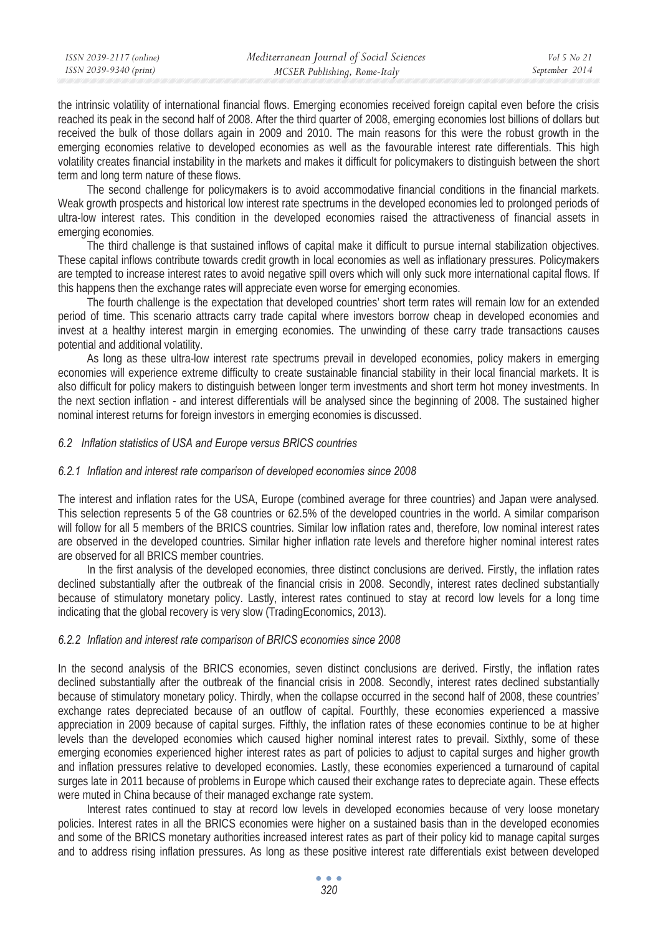| ISSN 2039-2117 (online) | Mediterranean Journal of Social Sciences | Vol 5 No 21    |
|-------------------------|------------------------------------------|----------------|
| ISSN 2039-9340 (print)  | MCSER Publishing, Rome-Italy             | September 2014 |
|                         |                                          |                |

the intrinsic volatility of international financial flows. Emerging economies received foreign capital even before the crisis reached its peak in the second half of 2008. After the third quarter of 2008, emerging economies lost billions of dollars but received the bulk of those dollars again in 2009 and 2010. The main reasons for this were the robust growth in the emerging economies relative to developed economies as well as the favourable interest rate differentials. This high volatility creates financial instability in the markets and makes it difficult for policymakers to distinguish between the short term and long term nature of these flows.

The second challenge for policymakers is to avoid accommodative financial conditions in the financial markets. Weak growth prospects and historical low interest rate spectrums in the developed economies led to prolonged periods of ultra-low interest rates. This condition in the developed economies raised the attractiveness of financial assets in emerging economies.

The third challenge is that sustained inflows of capital make it difficult to pursue internal stabilization objectives. These capital inflows contribute towards credit growth in local economies as well as inflationary pressures. Policymakers are tempted to increase interest rates to avoid negative spill overs which will only suck more international capital flows. If this happens then the exchange rates will appreciate even worse for emerging economies.

The fourth challenge is the expectation that developed countries' short term rates will remain low for an extended period of time. This scenario attracts carry trade capital where investors borrow cheap in developed economies and invest at a healthy interest margin in emerging economies. The unwinding of these carry trade transactions causes potential and additional volatility.

As long as these ultra-low interest rate spectrums prevail in developed economies, policy makers in emerging economies will experience extreme difficulty to create sustainable financial stability in their local financial markets. It is also difficult for policy makers to distinguish between longer term investments and short term hot money investments. In the next section inflation - and interest differentials will be analysed since the beginning of 2008. The sustained higher nominal interest returns for foreign investors in emerging economies is discussed.

# *6.2 Inflation statistics of USA and Europe versus BRICS countries*

### *6.2.1 Inflation and interest rate comparison of developed economies since 2008*

The interest and inflation rates for the USA, Europe (combined average for three countries) and Japan were analysed. This selection represents 5 of the G8 countries or 62.5% of the developed countries in the world. A similar comparison will follow for all 5 members of the BRICS countries. Similar low inflation rates and, therefore, low nominal interest rates are observed in the developed countries. Similar higher inflation rate levels and therefore higher nominal interest rates are observed for all BRICS member countries.

In the first analysis of the developed economies, three distinct conclusions are derived. Firstly, the inflation rates declined substantially after the outbreak of the financial crisis in 2008. Secondly, interest rates declined substantially because of stimulatory monetary policy. Lastly, interest rates continued to stay at record low levels for a long time indicating that the global recovery is very slow (TradingEconomics, 2013).

### *6.2.2 Inflation and interest rate comparison of BRICS economies since 2008*

In the second analysis of the BRICS economies, seven distinct conclusions are derived. Firstly, the inflation rates declined substantially after the outbreak of the financial crisis in 2008. Secondly, interest rates declined substantially because of stimulatory monetary policy. Thirdly, when the collapse occurred in the second half of 2008, these countries' exchange rates depreciated because of an outflow of capital. Fourthly, these economies experienced a massive appreciation in 2009 because of capital surges. Fifthly, the inflation rates of these economies continue to be at higher levels than the developed economies which caused higher nominal interest rates to prevail. Sixthly, some of these emerging economies experienced higher interest rates as part of policies to adjust to capital surges and higher growth and inflation pressures relative to developed economies. Lastly, these economies experienced a turnaround of capital surges late in 2011 because of problems in Europe which caused their exchange rates to depreciate again. These effects were muted in China because of their managed exchange rate system.

Interest rates continued to stay at record low levels in developed economies because of very loose monetary policies. Interest rates in all the BRICS economies were higher on a sustained basis than in the developed economies and some of the BRICS monetary authorities increased interest rates as part of their policy kid to manage capital surges and to address rising inflation pressures. As long as these positive interest rate differentials exist between developed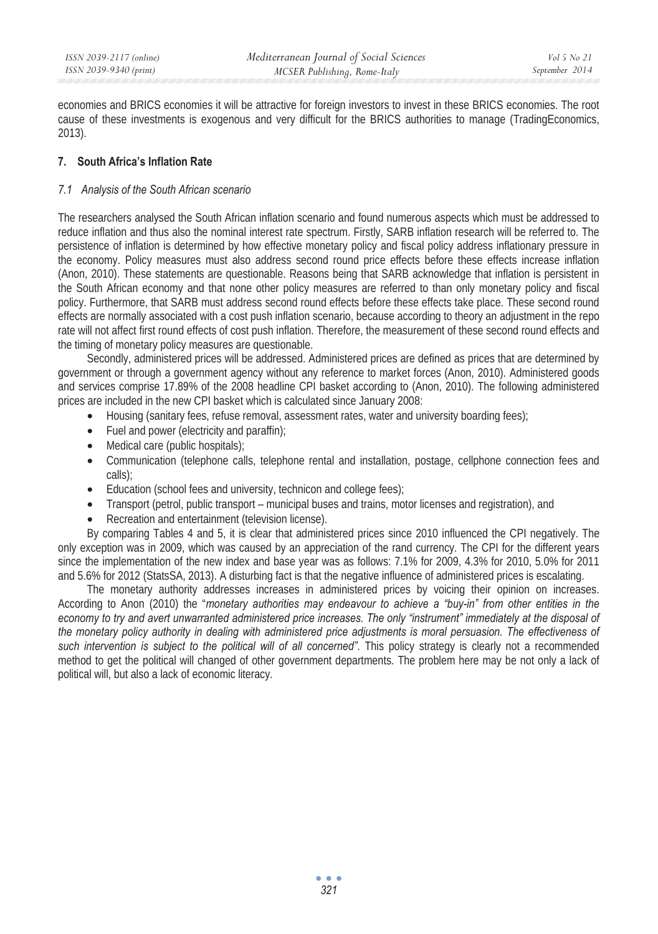economies and BRICS economies it will be attractive for foreign investors to invest in these BRICS economies. The root cause of these investments is exogenous and very difficult for the BRICS authorities to manage (TradingEconomics, 2013).

# **7. South Africa's Inflation Rate**

### *7.1 Analysis of the South African scenario*

The researchers analysed the South African inflation scenario and found numerous aspects which must be addressed to reduce inflation and thus also the nominal interest rate spectrum. Firstly, SARB inflation research will be referred to. The persistence of inflation is determined by how effective monetary policy and fiscal policy address inflationary pressure in the economy. Policy measures must also address second round price effects before these effects increase inflation (Anon, 2010). These statements are questionable. Reasons being that SARB acknowledge that inflation is persistent in the South African economy and that none other policy measures are referred to than only monetary policy and fiscal policy. Furthermore, that SARB must address second round effects before these effects take place. These second round effects are normally associated with a cost push inflation scenario, because according to theory an adjustment in the repo rate will not affect first round effects of cost push inflation. Therefore, the measurement of these second round effects and the timing of monetary policy measures are questionable.

Secondly, administered prices will be addressed. Administered prices are defined as prices that are determined by government or through a government agency without any reference to market forces (Anon, 2010). Administered goods and services comprise 17.89% of the 2008 headline CPI basket according to (Anon, 2010). The following administered prices are included in the new CPI basket which is calculated since January 2008:

- Housing (sanitary fees, refuse removal, assessment rates, water and university boarding fees);
- Fuel and power (electricity and paraffin);
- Medical care (public hospitals);
- Communication (telephone calls, telephone rental and installation, postage, cellphone connection fees and calls);
- Education (school fees and university, technicon and college fees);
- Transport (petrol, public transport municipal buses and trains, motor licenses and registration), and
- Recreation and entertainment (television license).

By comparing Tables 4 and 5, it is clear that administered prices since 2010 influenced the CPI negatively. The only exception was in 2009, which was caused by an appreciation of the rand currency. The CPI for the different years since the implementation of the new index and base year was as follows: 7.1% for 2009, 4.3% for 2010, 5.0% for 2011 and 5.6% for 2012 (StatsSA, 2013). A disturbing fact is that the negative influence of administered prices is escalating.

The monetary authority addresses increases in administered prices by voicing their opinion on increases. According to Anon (2010) the "*monetary authorities may endeavour to achieve a "buy-in" from other entities in the*  economy to try and avert unwarranted administered price increases. The only "instrument" immediately at the disposal of *the monetary policy authority in dealing with administered price adjustments is moral persuasion. The effectiveness of such intervention is subject to the political will of all concerned"*. This policy strategy is clearly not a recommended method to get the political will changed of other government departments. The problem here may be not only a lack of political will, but also a lack of economic literacy.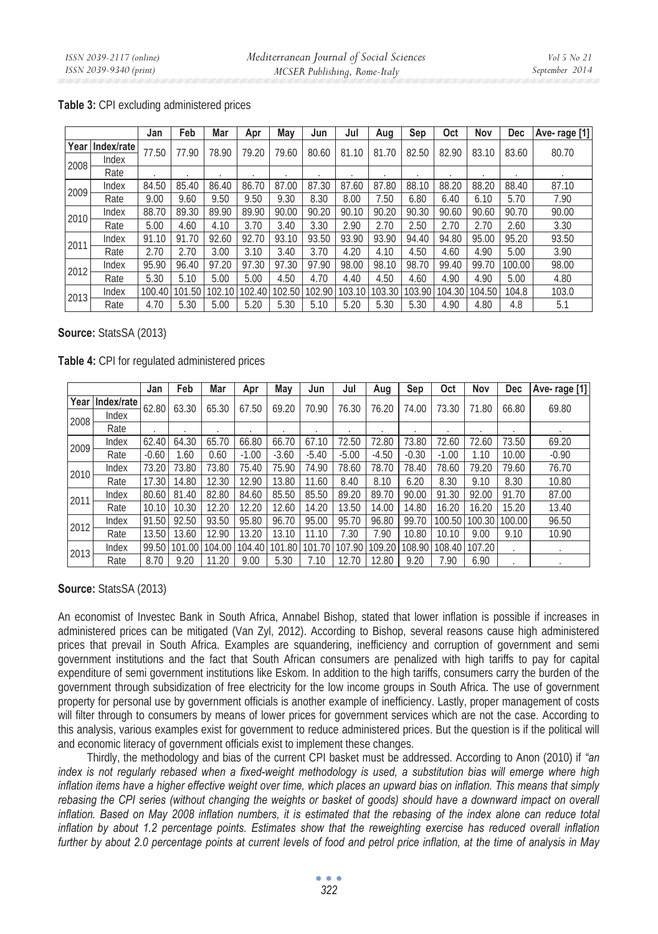|  | Table 3: CPI excluding administered prices |  |
|--|--------------------------------------------|--|
|--|--------------------------------------------|--|

|      |            | Jan    | Feb    | Mar    | Apr    | Mav    | Jun    | Jul    | Aug    | Sep    | <b>Oct</b> | Nov    | <b>Dec</b> | Ave-rage [1] |
|------|------------|--------|--------|--------|--------|--------|--------|--------|--------|--------|------------|--------|------------|--------------|
| Year | Index/rate | 77.50  | 77.90  | 78.90  | 79.20  | 79.60  | 80.60  | 81.10  | 81.70  | 82.50  | 82.90      | 83.10  | 83.60      | 80.70        |
| 2008 | Index      |        |        |        |        |        |        |        |        |        |            |        |            |              |
|      | Rate       |        |        |        |        | ٠      |        |        |        |        |            |        |            | $\cdot$      |
| 2009 | Index      | 84.50  | 85.40  | 86.40  | 86.70  | 87.00  | 87.30  | 87.60  | 87.80  | 88.10  | 88.20      | 88.20  | 88.40      | 87.10        |
|      | Rate       | 9.00   | 9.60   | 9.50   | 9.50   | 9.30   | 8.30   | 8.00   | 7.50   | 6.80   | 6.40       | 6.10   | 5.70       | 7.90         |
| 2010 | Index      | 88.70  | 89.30  | 89.90  | 89.90  | 90.00  | 90.20  | 90.10  | 90.20  | 90.30  | 90.60      | 90.60  | 90.70      | 90.00        |
|      | Rate       | 5.00   | 4.60   | 4.10   | 3.70   | 3.40   | 3.30   | 2.90   | 2.70   | 2.50   | 2.70       | 2.70   | 2.60       | 3.30         |
| 2011 | Index      | 91.10  | 91.70  | 92.60  | 92.70  | 93.10  | 93.50  | 93.90  | 93.90  | 94.40  | 94.80      | 95.00  | 95.20      | 93.50        |
|      | Rate       | 2.70   | 2.70   | 3.00   | 3.10   | 3.40   | 3.70   | 4.20   | 4.10   | 4.50   | 4.60       | 4.90   | 5.00       | 3.90         |
| 2012 | Index      | 95.90  | 96.40  | 97.20  | 97.30  | 97.30  | 97.90  | 98.00  | 98.10  | 98.70  | 99.40      | 99.70  | 100.00     | 98.00        |
|      | Rate       | 5.30   | 5.10   | 5.00   | 5.00   | 4.50   | 4.70   | 4.40   | 4.50   | 4.60   | 4.90       | 4.90   | 5.00       | 4.80         |
| 2013 | Index      | 100.40 | 101.50 | 102.10 | 102.40 | 102.50 | 102.90 | 103.10 | 103.30 | 103.90 | 104.30     | 104.50 | 104.8      | 103.0        |
|      | Rate       | 4.70   | 5.30   | 5.00   | 5.20   | 5.30   | 5.10   | 5.20   | 5.30   | 5.30   | 4.90       | 4.80   | 4.8        | 5.1          |

# **Source:** StatsSA (2013)

**Table 4:** CPI for regulated administered prices

|      |            | Jan     | Feb    | Mar    | Apr     | Mav     | Jun     | Jul     | Aug     | Sep     | <b>Oct</b> | Nov           | <b>Dec</b> | Ave-rage [1] |
|------|------------|---------|--------|--------|---------|---------|---------|---------|---------|---------|------------|---------------|------------|--------------|
| Year | Index/rate | 62.80   | 63.30  | 65.30  | 67.50   | 69.20   | 70.90   | 76.30   | 76.20   | 74.00   | 73.30      | 71.80         | 66.80      | 69.80        |
| 2008 | Index      |         |        |        |         |         |         |         |         |         |            |               |            |              |
|      | Rate       |         |        |        |         |         |         |         |         |         |            |               |            |              |
| 2009 | Index      | 62.40   | 64.30  | 65.70  | 66.80   | 66.70   | 67.10   | 72.50   | 72.80   | 73.80   | 72.60      | 72.60         | 73.50      | 69.20        |
|      | Rate       | $-0.60$ | 1.60   | 0.60   | $-1.00$ | $-3.60$ | $-5.40$ | $-5.00$ | $-4.50$ | $-0.30$ | $-1.00$    | 1.10          | 10.00      | $-0.90$      |
| 2010 | Index      | 73.20   | 73.80  | 73.80  | 75.40   | 75.90   | 74.90   | 78.60   | 78.70   | 78.40   | 78.60      | 79.20         | 79.60      | 76.70        |
|      | Rate       | 17.30   | 14.80  | 12.30  | 12.90   | 13.80   | 11.60   | 8.40    | 8.10    | 6.20    | 8.30       | 9.10          | 8.30       | 10.80        |
| 2011 | Index      | 80.60   | 81.40  | 82.80  | 84.60   | 85.50   | 85.50   | 89.20   | 89.70   | 90.00   | 91.30      | 92.00         | 91.70      | 87.00        |
|      | Rate       | 10.10   | 10.30  | 12.20  | 12.20   | 12.60   | 14.20   | 13.50   | 14.00   | 14.80   | 16.20      | 16.20         | 15.20      | 13.40        |
| 2012 | Index      | 91.50   | 92.50  | 93.50  | 95.80   | 96.70   | 95.00   | 95.70   | 96.80   | 99.70   | 100.50     | 100.30        | 100.00     | 96.50        |
|      | Rate       | 13.50   | 13.60  | 12.90  | 13.20   | 13.10   | 11.10   | 7.30    | 7.90    | 10.80   | 10.10      | 9.00          | 9.10       | 10.90        |
| 2013 | Index      | 99.50   | 101.00 | 104.00 | 104.40  | 101.80  | 101.70  | 107.90  | 109.20  | 108.90  |            | 108.40 107.20 |            |              |
|      | Rate       | 8.70    | 9.20   | 11.20  | 9.00    | 5.30    | 7.10    | 12.70   | 12.80   | 9.20    | 7.90       | 6.90          |            |              |

**Source:** StatsSA (2013)

An economist of Investec Bank in South Africa, Annabel Bishop, stated that lower inflation is possible if increases in administered prices can be mitigated (Van Zyl, 2012). According to Bishop, several reasons cause high administered prices that prevail in South Africa. Examples are squandering, inefficiency and corruption of government and semi government institutions and the fact that South African consumers are penalized with high tariffs to pay for capital expenditure of semi government institutions like Eskom. In addition to the high tariffs, consumers carry the burden of the government through subsidization of free electricity for the low income groups in South Africa. The use of government property for personal use by government officials is another example of inefficiency. Lastly, proper management of costs will filter through to consumers by means of lower prices for government services which are not the case. According to this analysis, various examples exist for government to reduce administered prices. But the question is if the political will and economic literacy of government officials exist to implement these changes.

Thirdly, the methodology and bias of the current CPI basket must be addressed. According to Anon (2010) if *"an index is not regularly rebased when a fixed-weight methodology is used, a substitution bias will emerge where high* inflation items have a higher effective weight over time, which places an upward bias on inflation. This means that simply rebasing the CPI series (without changing the weights or basket of goods) should have a downward impact on overall *inflation. Based on May 2008 inflation numbers, it is estimated that the rebasing of the index alone can reduce total inflation by about 1.2 percentage points. Estimates show that the reweighting exercise has reduced overall inflation further by about 2.0 percentage points at current levels of food and petrol price inflation, at the time of analysis in May*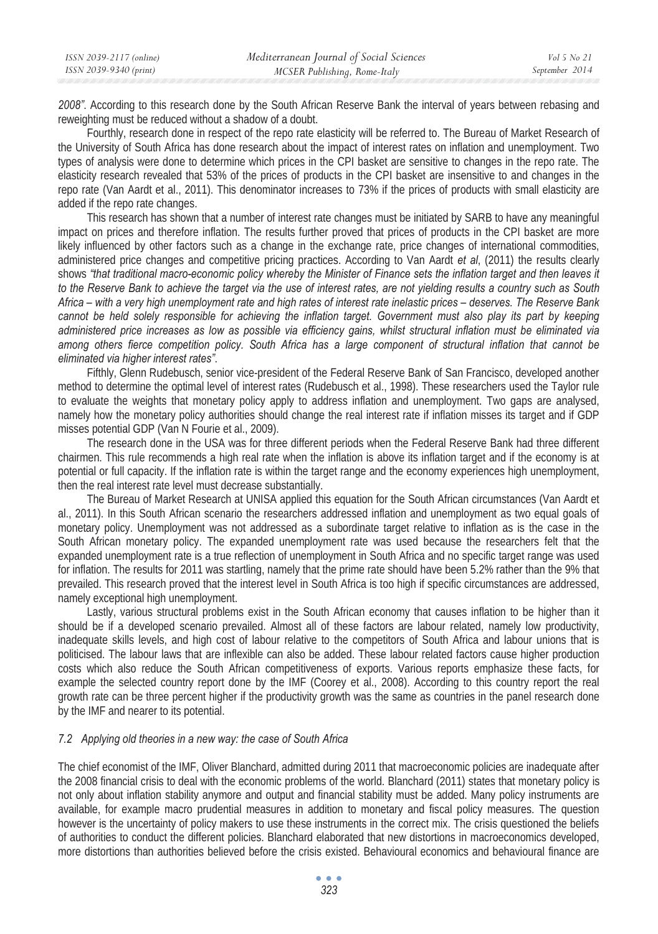| ISSN 2039-2117 (online) | Mediterranean Journal of Social Sciences | Vol 5 No 21    |
|-------------------------|------------------------------------------|----------------|
| ISSN 2039-9340 (print)  | MCSER Publishing, Rome-Italy             | September 2014 |

*2008"*. According to this research done by the South African Reserve Bank the interval of years between rebasing and reweighting must be reduced without a shadow of a doubt.

Fourthly, research done in respect of the repo rate elasticity will be referred to. The Bureau of Market Research of the University of South Africa has done research about the impact of interest rates on inflation and unemployment. Two types of analysis were done to determine which prices in the CPI basket are sensitive to changes in the repo rate. The elasticity research revealed that 53% of the prices of products in the CPI basket are insensitive to and changes in the repo rate (Van Aardt et al., 2011). This denominator increases to 73% if the prices of products with small elasticity are added if the repo rate changes.

This research has shown that a number of interest rate changes must be initiated by SARB to have any meaningful impact on prices and therefore inflation. The results further proved that prices of products in the CPI basket are more likely influenced by other factors such as a change in the exchange rate, price changes of international commodities, administered price changes and competitive pricing practices. According to Van Aardt *et al*, (2011) the results clearly shows *"that traditional macro-economic policy whereby the Minister of Finance sets the inflation target and then leaves it to the Reserve Bank to achieve the target via the use of interest rates, are not yielding results a country such as South Africa – with a very high unemployment rate and high rates of interest rate inelastic prices – deserves. The Reserve Bank cannot be held solely responsible for achieving the inflation target. Government must also play its part by keeping administered price increases as low as possible via efficiency gains, whilst structural inflation must be eliminated via among others fierce competition policy. South Africa has a large component of structural inflation that cannot be eliminated via higher interest rates"*.

Fifthly, Glenn Rudebusch, senior vice-president of the Federal Reserve Bank of San Francisco, developed another method to determine the optimal level of interest rates (Rudebusch et al., 1998). These researchers used the Taylor rule to evaluate the weights that monetary policy apply to address inflation and unemployment. Two gaps are analysed, namely how the monetary policy authorities should change the real interest rate if inflation misses its target and if GDP misses potential GDP (Van N Fourie et al., 2009).

The research done in the USA was for three different periods when the Federal Reserve Bank had three different chairmen. This rule recommends a high real rate when the inflation is above its inflation target and if the economy is at potential or full capacity. If the inflation rate is within the target range and the economy experiences high unemployment, then the real interest rate level must decrease substantially.

The Bureau of Market Research at UNISA applied this equation for the South African circumstances (Van Aardt et al., 2011). In this South African scenario the researchers addressed inflation and unemployment as two equal goals of monetary policy. Unemployment was not addressed as a subordinate target relative to inflation as is the case in the South African monetary policy. The expanded unemployment rate was used because the researchers felt that the expanded unemployment rate is a true reflection of unemployment in South Africa and no specific target range was used for inflation. The results for 2011 was startling, namely that the prime rate should have been 5.2% rather than the 9% that prevailed. This research proved that the interest level in South Africa is too high if specific circumstances are addressed, namely exceptional high unemployment.

Lastly, various structural problems exist in the South African economy that causes inflation to be higher than it should be if a developed scenario prevailed. Almost all of these factors are labour related, namely low productivity, inadequate skills levels, and high cost of labour relative to the competitors of South Africa and labour unions that is politicised. The labour laws that are inflexible can also be added. These labour related factors cause higher production costs which also reduce the South African competitiveness of exports. Various reports emphasize these facts, for example the selected country report done by the IMF (Coorey et al., 2008). According to this country report the real growth rate can be three percent higher if the productivity growth was the same as countries in the panel research done by the IMF and nearer to its potential.

### *7.2 Applying old theories in a new way: the case of South Africa*

The chief economist of the IMF, Oliver Blanchard, admitted during 2011 that macroeconomic policies are inadequate after the 2008 financial crisis to deal with the economic problems of the world. Blanchard (2011) states that monetary policy is not only about inflation stability anymore and output and financial stability must be added. Many policy instruments are available, for example macro prudential measures in addition to monetary and fiscal policy measures. The question however is the uncertainty of policy makers to use these instruments in the correct mix. The crisis questioned the beliefs of authorities to conduct the different policies. Blanchard elaborated that new distortions in macroeconomics developed, more distortions than authorities believed before the crisis existed. Behavioural economics and behavioural finance are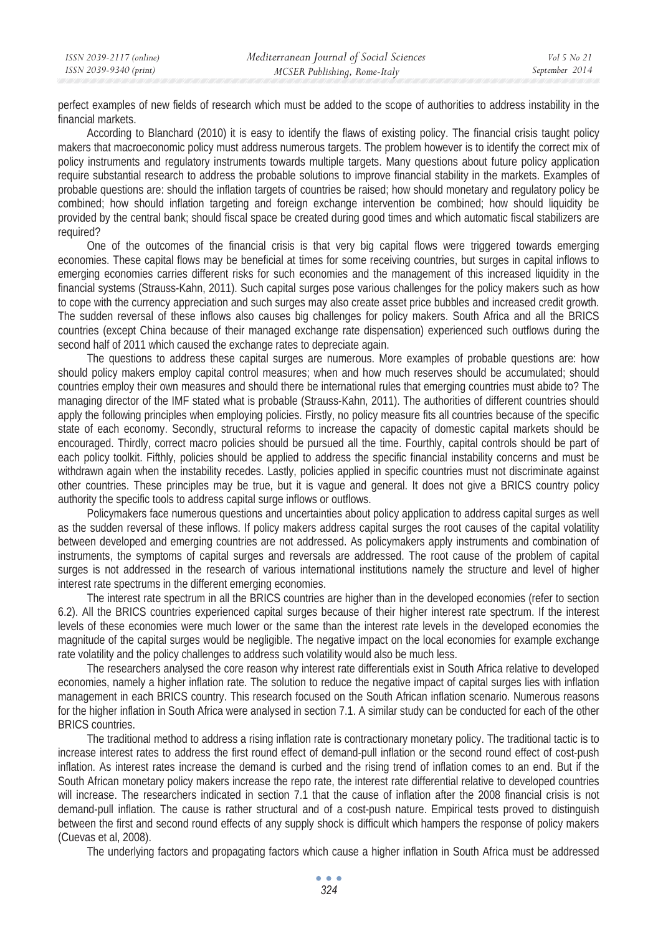perfect examples of new fields of research which must be added to the scope of authorities to address instability in the financial markets.

According to Blanchard (2010) it is easy to identify the flaws of existing policy. The financial crisis taught policy makers that macroeconomic policy must address numerous targets. The problem however is to identify the correct mix of policy instruments and regulatory instruments towards multiple targets. Many questions about future policy application require substantial research to address the probable solutions to improve financial stability in the markets. Examples of probable questions are: should the inflation targets of countries be raised; how should monetary and regulatory policy be combined; how should inflation targeting and foreign exchange intervention be combined; how should liquidity be provided by the central bank; should fiscal space be created during good times and which automatic fiscal stabilizers are required?

One of the outcomes of the financial crisis is that very big capital flows were triggered towards emerging economies. These capital flows may be beneficial at times for some receiving countries, but surges in capital inflows to emerging economies carries different risks for such economies and the management of this increased liquidity in the financial systems (Strauss-Kahn, 2011). Such capital surges pose various challenges for the policy makers such as how to cope with the currency appreciation and such surges may also create asset price bubbles and increased credit growth. The sudden reversal of these inflows also causes big challenges for policy makers. South Africa and all the BRICS countries (except China because of their managed exchange rate dispensation) experienced such outflows during the second half of 2011 which caused the exchange rates to depreciate again.

The questions to address these capital surges are numerous. More examples of probable questions are: how should policy makers employ capital control measures; when and how much reserves should be accumulated; should countries employ their own measures and should there be international rules that emerging countries must abide to? The managing director of the IMF stated what is probable (Strauss-Kahn, 2011). The authorities of different countries should apply the following principles when employing policies. Firstly, no policy measure fits all countries because of the specific state of each economy. Secondly, structural reforms to increase the capacity of domestic capital markets should be encouraged. Thirdly, correct macro policies should be pursued all the time. Fourthly, capital controls should be part of each policy toolkit. Fifthly, policies should be applied to address the specific financial instability concerns and must be withdrawn again when the instability recedes. Lastly, policies applied in specific countries must not discriminate against other countries. These principles may be true, but it is vague and general. It does not give a BRICS country policy authority the specific tools to address capital surge inflows or outflows.

Policymakers face numerous questions and uncertainties about policy application to address capital surges as well as the sudden reversal of these inflows. If policy makers address capital surges the root causes of the capital volatility between developed and emerging countries are not addressed. As policymakers apply instruments and combination of instruments, the symptoms of capital surges and reversals are addressed. The root cause of the problem of capital surges is not addressed in the research of various international institutions namely the structure and level of higher interest rate spectrums in the different emerging economies.

The interest rate spectrum in all the BRICS countries are higher than in the developed economies (refer to section 6.2). All the BRICS countries experienced capital surges because of their higher interest rate spectrum. If the interest levels of these economies were much lower or the same than the interest rate levels in the developed economies the magnitude of the capital surges would be negligible. The negative impact on the local economies for example exchange rate volatility and the policy challenges to address such volatility would also be much less.

The researchers analysed the core reason why interest rate differentials exist in South Africa relative to developed economies, namely a higher inflation rate. The solution to reduce the negative impact of capital surges lies with inflation management in each BRICS country. This research focused on the South African inflation scenario. Numerous reasons for the higher inflation in South Africa were analysed in section 7.1. A similar study can be conducted for each of the other BRICS countries.

The traditional method to address a rising inflation rate is contractionary monetary policy. The traditional tactic is to increase interest rates to address the first round effect of demand-pull inflation or the second round effect of cost-push inflation. As interest rates increase the demand is curbed and the rising trend of inflation comes to an end. But if the South African monetary policy makers increase the repo rate, the interest rate differential relative to developed countries will increase. The researchers indicated in section 7.1 that the cause of inflation after the 2008 financial crisis is not demand-pull inflation. The cause is rather structural and of a cost-push nature. Empirical tests proved to distinguish between the first and second round effects of any supply shock is difficult which hampers the response of policy makers (Cuevas et al, 2008).

The underlying factors and propagating factors which cause a higher inflation in South Africa must be addressed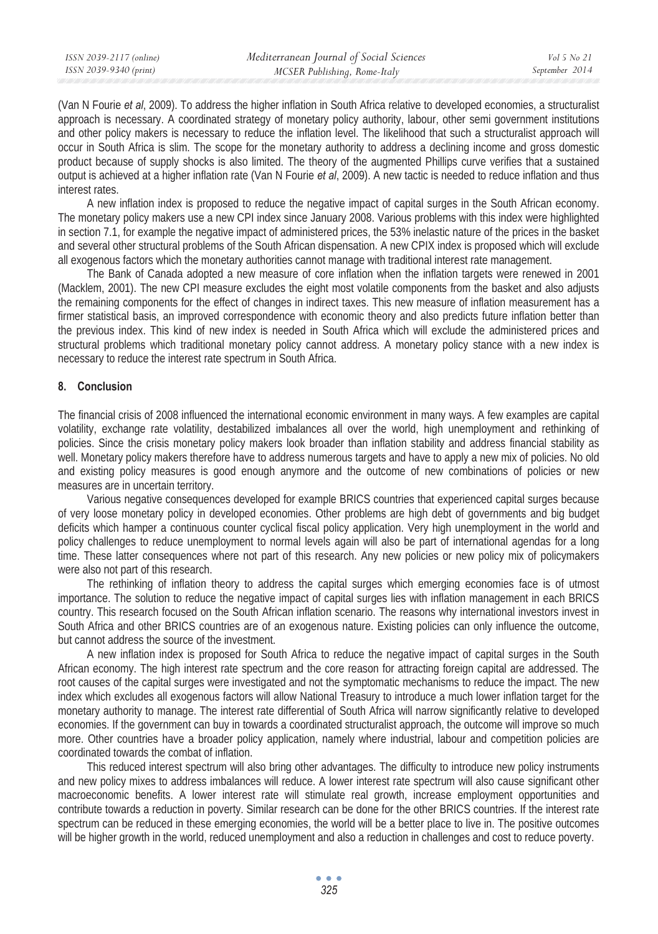| ISSN 2039-2117 (online) | Mediterranean Journal of Social Sciences | Vol 5 No 21    |
|-------------------------|------------------------------------------|----------------|
| ISSN 2039-9340 (print)  | MCSER Publishing, Rome-Italy             | September 2014 |

(Van N Fourie *et al*, 2009). To address the higher inflation in South Africa relative to developed economies, a structuralist approach is necessary. A coordinated strategy of monetary policy authority, labour, other semi government institutions and other policy makers is necessary to reduce the inflation level. The likelihood that such a structuralist approach will occur in South Africa is slim. The scope for the monetary authority to address a declining income and gross domestic product because of supply shocks is also limited. The theory of the augmented Phillips curve verifies that a sustained output is achieved at a higher inflation rate (Van N Fourie *et al*, 2009). A new tactic is needed to reduce inflation and thus interest rates.

A new inflation index is proposed to reduce the negative impact of capital surges in the South African economy. The monetary policy makers use a new CPI index since January 2008. Various problems with this index were highlighted in section 7.1, for example the negative impact of administered prices, the 53% inelastic nature of the prices in the basket and several other structural problems of the South African dispensation. A new CPIX index is proposed which will exclude all exogenous factors which the monetary authorities cannot manage with traditional interest rate management.

The Bank of Canada adopted a new measure of core inflation when the inflation targets were renewed in 2001 (Macklem, 2001). The new CPI measure excludes the eight most volatile components from the basket and also adjusts the remaining components for the effect of changes in indirect taxes. This new measure of inflation measurement has a firmer statistical basis, an improved correspondence with economic theory and also predicts future inflation better than the previous index. This kind of new index is needed in South Africa which will exclude the administered prices and structural problems which traditional monetary policy cannot address. A monetary policy stance with a new index is necessary to reduce the interest rate spectrum in South Africa.

### **8. Conclusion**

The financial crisis of 2008 influenced the international economic environment in many ways. A few examples are capital volatility, exchange rate volatility, destabilized imbalances all over the world, high unemployment and rethinking of policies. Since the crisis monetary policy makers look broader than inflation stability and address financial stability as well. Monetary policy makers therefore have to address numerous targets and have to apply a new mix of policies. No old and existing policy measures is good enough anymore and the outcome of new combinations of policies or new measures are in uncertain territory.

Various negative consequences developed for example BRICS countries that experienced capital surges because of very loose monetary policy in developed economies. Other problems are high debt of governments and big budget deficits which hamper a continuous counter cyclical fiscal policy application. Very high unemployment in the world and policy challenges to reduce unemployment to normal levels again will also be part of international agendas for a long time. These latter consequences where not part of this research. Any new policies or new policy mix of policymakers were also not part of this research.

The rethinking of inflation theory to address the capital surges which emerging economies face is of utmost importance. The solution to reduce the negative impact of capital surges lies with inflation management in each BRICS country. This research focused on the South African inflation scenario. The reasons why international investors invest in South Africa and other BRICS countries are of an exogenous nature. Existing policies can only influence the outcome, but cannot address the source of the investment.

A new inflation index is proposed for South Africa to reduce the negative impact of capital surges in the South African economy. The high interest rate spectrum and the core reason for attracting foreign capital are addressed. The root causes of the capital surges were investigated and not the symptomatic mechanisms to reduce the impact. The new index which excludes all exogenous factors will allow National Treasury to introduce a much lower inflation target for the monetary authority to manage. The interest rate differential of South Africa will narrow significantly relative to developed economies. If the government can buy in towards a coordinated structuralist approach, the outcome will improve so much more. Other countries have a broader policy application, namely where industrial, labour and competition policies are coordinated towards the combat of inflation.

This reduced interest spectrum will also bring other advantages. The difficulty to introduce new policy instruments and new policy mixes to address imbalances will reduce. A lower interest rate spectrum will also cause significant other macroeconomic benefits. A lower interest rate will stimulate real growth, increase employment opportunities and contribute towards a reduction in poverty. Similar research can be done for the other BRICS countries. If the interest rate spectrum can be reduced in these emerging economies, the world will be a better place to live in. The positive outcomes will be higher growth in the world, reduced unemployment and also a reduction in challenges and cost to reduce poverty.